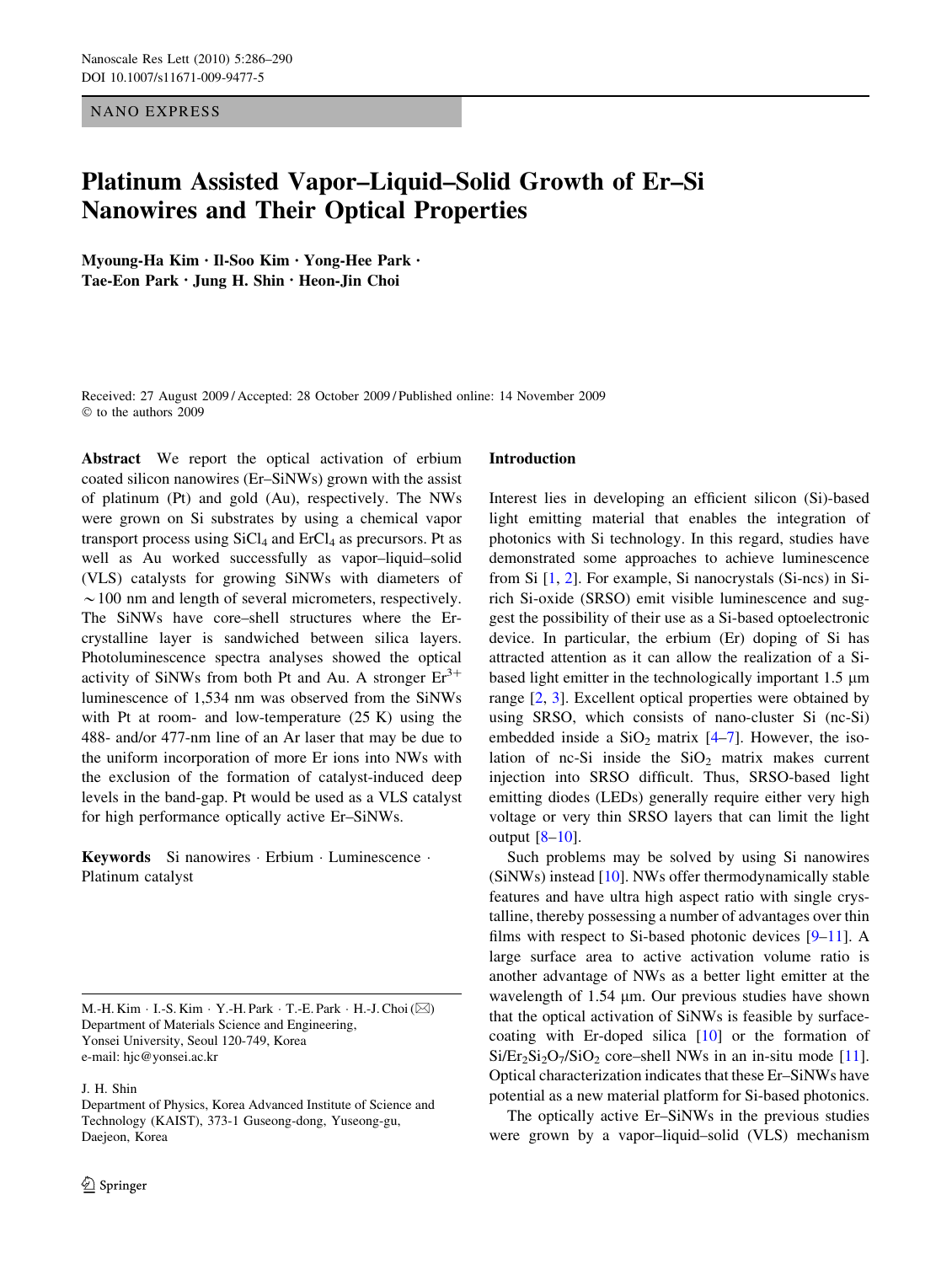# NANO EXPRESS

# Platinum Assisted Vapor–Liquid–Solid Growth of Er–Si Nanowires and Their Optical Properties

Myoung-Ha Kim • Il-Soo Kim • Yong-Hee Park • Tae-Eon Park • Jung H. Shin • Heon-Jin Choi

Received: 27 August 2009 / Accepted: 28 October 2009 / Published online: 14 November 2009  $©$  to the authors 2009

Abstract We report the optical activation of erbium coated silicon nanowires (Er–SiNWs) grown with the assist of platinum (Pt) and gold (Au), respectively. The NWs were grown on Si substrates by using a chemical vapor transport process using  $SiCl<sub>4</sub>$  and  $ErCl<sub>4</sub>$  as precursors. Pt as well as Au worked successfully as vapor–liquid–solid (VLS) catalysts for growing SiNWs with diameters of  $\sim$  100 nm and length of several micrometers, respectively. The SiNWs have core–shell structures where the Ercrystalline layer is sandwiched between silica layers. Photoluminescence spectra analyses showed the optical activity of SiNWs from both Pt and Au. A stronger  $Er^{3+}$ luminescence of 1,534 nm was observed from the SiNWs with Pt at room- and low-temperature (25 K) using the 488- and/or 477-nm line of an Ar laser that may be due to the uniform incorporation of more Er ions into NWs with the exclusion of the formation of catalyst-induced deep levels in the band-gap. Pt would be used as a VLS catalyst for high performance optically active Er–SiNWs.

Keywords Si nanowires · Erbium · Luminescence · Platinum catalyst

M.-H. Kim  $\cdot$  I.-S. Kim  $\cdot$  Y.-H. Park  $\cdot$  T.-E. Park  $\cdot$  H.-J. Choi ( $\boxtimes$ ) Department of Materials Science and Engineering, Yonsei University, Seoul 120-749, Korea e-mail: hjc@yonsei.ac.kr

J. H. Shin

### Introduction

Interest lies in developing an efficient silicon (Si)-based light emitting material that enables the integration of photonics with Si technology. In this regard, studies have demonstrated some approaches to achieve luminescence from Si [\[1](#page-4-0), [2](#page-4-0)]. For example, Si nanocrystals (Si-ncs) in Sirich Si-oxide (SRSO) emit visible luminescence and suggest the possibility of their use as a Si-based optoelectronic device. In particular, the erbium (Er) doping of Si has attracted attention as it can allow the realization of a Sibased light emitter in the technologically important  $1.5 \mu m$ range [[2,](#page-4-0) [3](#page-4-0)]. Excellent optical properties were obtained by using SRSO, which consists of nano-cluster Si (nc-Si) embedded inside a  $SiO<sub>2</sub>$  matrix [[4–7\]](#page-4-0). However, the isolation of nc-Si inside the  $SiO<sub>2</sub>$  matrix makes current injection into SRSO difficult. Thus, SRSO-based light emitting diodes (LEDs) generally require either very high voltage or very thin SRSO layers that can limit the light output [\[8–10](#page-4-0)].

Such problems may be solved by using Si nanowires (SiNWs) instead [[10\]](#page-4-0). NWs offer thermodynamically stable features and have ultra high aspect ratio with single crystalline, thereby possessing a number of advantages over thin films with respect to Si-based photonic devices [[9–11\]](#page-4-0). A large surface area to active activation volume ratio is another advantage of NWs as a better light emitter at the wavelength of  $1.54 \mu m$ . Our previous studies have shown that the optical activation of SiNWs is feasible by surfacecoating with Er-doped silica [[10\]](#page-4-0) or the formation of  $Si/Er_2Si_2O_7/SiO_2$  core–shell NWs in an in-situ mode [\[11](#page-4-0)]. Optical characterization indicates that these Er–SiNWs have potential as a new material platform for Si-based photonics.

The optically active Er–SiNWs in the previous studies were grown by a vapor–liquid–solid (VLS) mechanism

Department of Physics, Korea Advanced Institute of Science and Technology (KAIST), 373-1 Guseong-dong, Yuseong-gu, Daejeon, Korea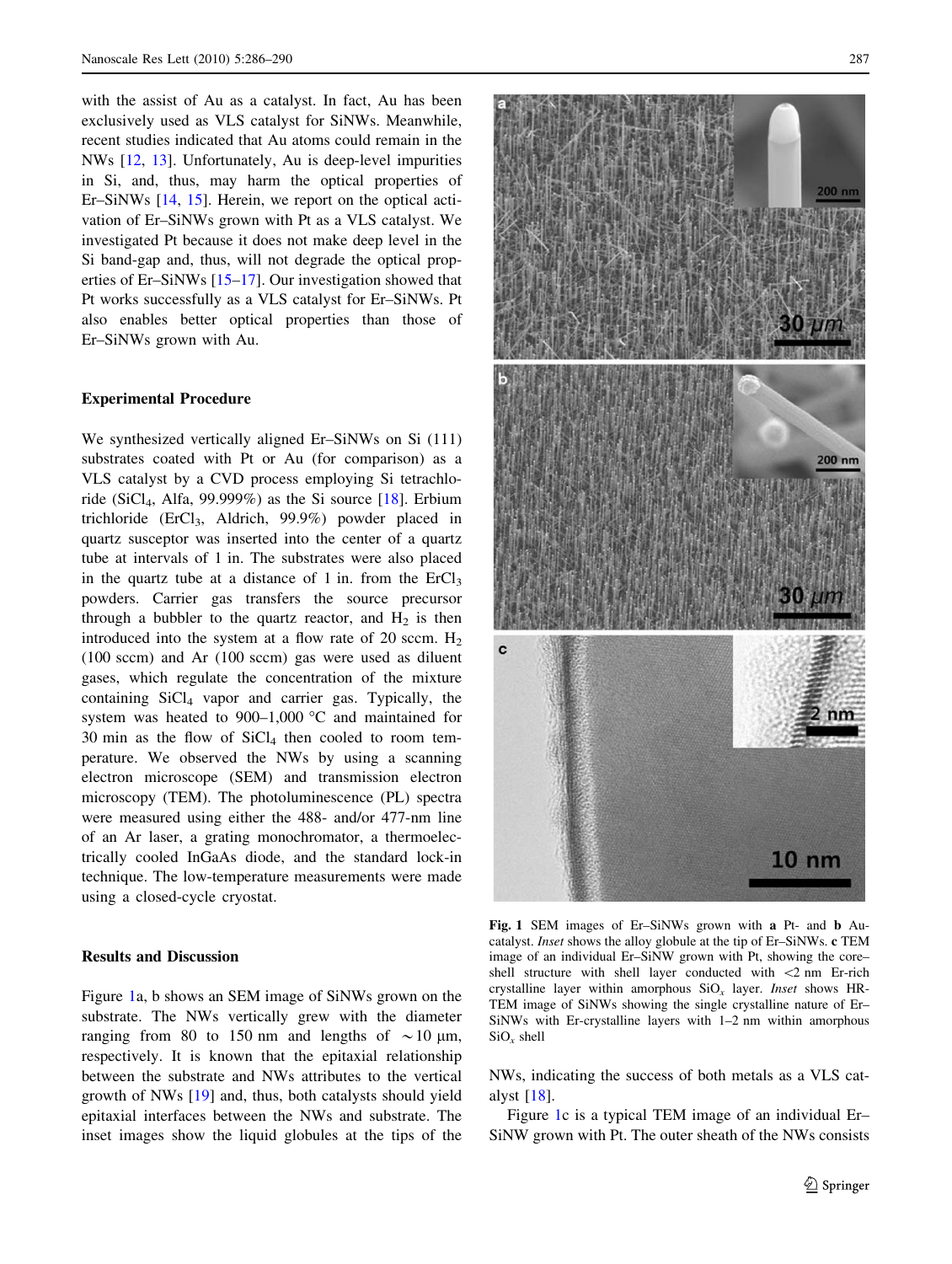<span id="page-1-0"></span>with the assist of Au as a catalyst. In fact, Au has been exclusively used as VLS catalyst for SiNWs. Meanwhile, recent studies indicated that Au atoms could remain in the NWs [[12,](#page-4-0) [13\]](#page-4-0). Unfortunately, Au is deep-level impurities in Si, and, thus, may harm the optical properties of Er–SiNWs [[14,](#page-4-0) [15\]](#page-4-0). Herein, we report on the optical activation of Er–SiNWs grown with Pt as a VLS catalyst. We investigated Pt because it does not make deep level in the Si band-gap and, thus, will not degrade the optical properties of Er–SiNWs [\[15–17](#page-4-0)]. Our investigation showed that Pt works successfully as a VLS catalyst for Er–SiNWs. Pt also enables better optical properties than those of Er–SiNWs grown with Au.

### Experimental Procedure

We synthesized vertically aligned Er–SiNWs on Si (111) substrates coated with Pt or Au (for comparison) as a VLS catalyst by a CVD process employing Si tetrachloride (SiCl<sub>4</sub>, Alfa, 99.999%) as the Si source  $[18]$  $[18]$ . Erbium trichloride (ErCl<sub>3</sub>, Aldrich, 99.9%) powder placed in quartz susceptor was inserted into the center of a quartz tube at intervals of 1 in. The substrates were also placed in the quartz tube at a distance of 1 in. from the  $E<sub>13</sub>$ powders. Carrier gas transfers the source precursor through a bubbler to the quartz reactor, and  $H_2$  is then introduced into the system at a flow rate of 20 sccm.  $H_2$ (100 sccm) and Ar (100 sccm) gas were used as diluent gases, which regulate the concentration of the mixture containing SiCl4 vapor and carrier gas. Typically, the system was heated to  $900-1,000$  °C and maintained for 30 min as the flow of  $SiCl<sub>4</sub>$  then cooled to room temperature. We observed the NWs by using a scanning electron microscope (SEM) and transmission electron microscopy (TEM). The photoluminescence (PL) spectra were measured using either the 488- and/or 477-nm line of an Ar laser, a grating monochromator, a thermoelectrically cooled InGaAs diode, and the standard lock-in technique. The low-temperature measurements were made using a closed-cycle cryostat.

#### Results and Discussion

Figure 1a, b shows an SEM image of SiNWs grown on the substrate. The NWs vertically grew with the diameter ranging from 80 to 150 nm and lengths of  $\sim$  10  $\mu$ m, respectively. It is known that the epitaxial relationship between the substrate and NWs attributes to the vertical growth of NWs [\[19](#page-4-0)] and, thus, both catalysts should yield epitaxial interfaces between the NWs and substrate. The inset images show the liquid globules at the tips of the



Fig. 1 SEM images of Er–SiNWs grown with a Pt- and b Aucatalyst. Inset shows the alloy globule at the tip of Er–SiNWs. c TEM image of an individual Er–SiNW grown with Pt, showing the core– shell structure with shell layer conducted with *\*2 nm Er-rich crystalline layer within amorphous  $SiO_x$  layer. Inset shows HR-TEM image of SiNWs showing the single crystalline nature of Er– SiNWs with Er-crystalline layers with 1–2 nm within amorphous  $SiO<sub>x</sub>$  shell

NWs, indicating the success of both metals as a VLS catalyst [[18\]](#page-4-0).

Figure 1c is a typical TEM image of an individual Er– SiNW grown with Pt. The outer sheath of the NWs consists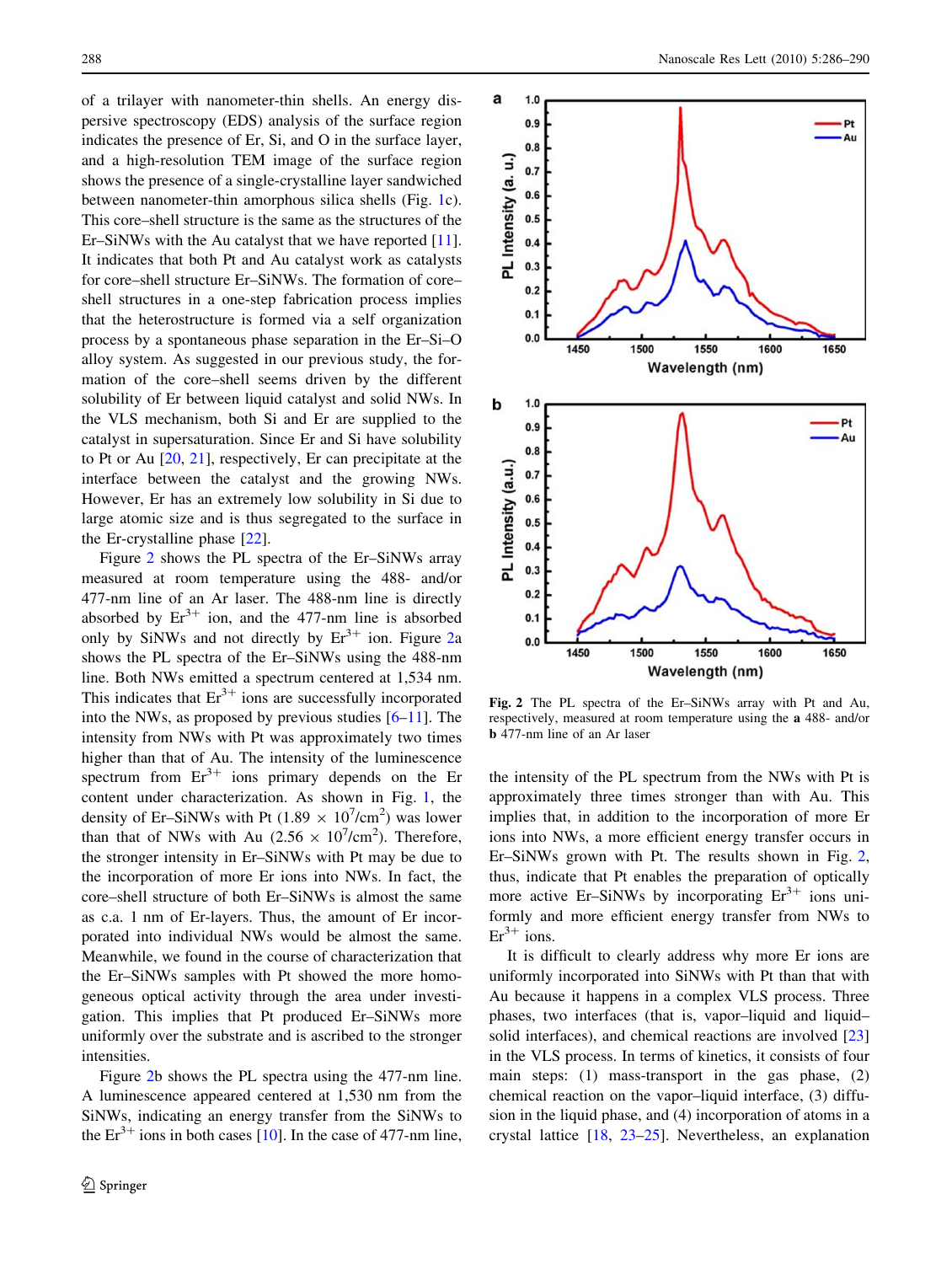of a trilayer with nanometer-thin shells. An energy dispersive spectroscopy (EDS) analysis of the surface region indicates the presence of Er, Si, and O in the surface layer, and a high-resolution TEM image of the surface region shows the presence of a single-crystalline layer sandwiched between nanometer-thin amorphous silica shells (Fig. [1c](#page-1-0)). This core–shell structure is the same as the structures of the Er–SiNWs with the Au catalyst that we have reported [\[11](#page-4-0)]. It indicates that both Pt and Au catalyst work as catalysts for core–shell structure Er–SiNWs. The formation of core– shell structures in a one-step fabrication process implies that the heterostructure is formed via a self organization process by a spontaneous phase separation in the Er–Si–O alloy system. As suggested in our previous study, the formation of the core–shell seems driven by the different solubility of Er between liquid catalyst and solid NWs. In the VLS mechanism, both Si and Er are supplied to the catalyst in supersaturation. Since Er and Si have solubility to Pt or Au [\[20](#page-4-0), [21\]](#page-4-0), respectively, Er can precipitate at the interface between the catalyst and the growing NWs. However, Er has an extremely low solubility in Si due to large atomic size and is thus segregated to the surface in the Er-crystalline phase [[22\]](#page-4-0).

Figure 2 shows the PL spectra of the Er–SiNWs array measured at room temperature using the 488- and/or 477-nm line of an Ar laser. The 488-nm line is directly absorbed by  $Er^{3+}$  ion, and the 477-nm line is absorbed only by SiNWs and not directly by  $Er^{3+}$  ion. Figure 2a shows the PL spectra of the Er–SiNWs using the 488-nm line. Both NWs emitted a spectrum centered at 1,534 nm. This indicates that  $Er^{3+}$  ions are successfully incorporated into the NWs, as proposed by previous studies [[6–11\]](#page-4-0). The intensity from NWs with Pt was approximately two times higher than that of Au. The intensity of the luminescence spectrum from  $Er^{3+}$  ions primary depends on the Er content under characterization. As shown in Fig. [1](#page-1-0), the density of Er-SiNWs with Pt (1.89  $\times$  10<sup>7</sup>/cm<sup>2</sup>) was lower than that of NWs with Au  $(2.56 \times 10^7/\text{cm}^2)$ . Therefore, the stronger intensity in Er–SiNWs with Pt may be due to the incorporation of more Er ions into NWs. In fact, the core–shell structure of both Er–SiNWs is almost the same as c.a. 1 nm of Er-layers. Thus, the amount of Er incorporated into individual NWs would be almost the same. Meanwhile, we found in the course of characterization that the Er–SiNWs samples with Pt showed the more homogeneous optical activity through the area under investigation. This implies that Pt produced Er–SiNWs more uniformly over the substrate and is ascribed to the stronger intensities.

Figure 2b shows the PL spectra using the 477-nm line. A luminescence appeared centered at 1,530 nm from the SiNWs, indicating an energy transfer from the SiNWs to the  $Er^{3+}$  ions in both cases [[10\]](#page-4-0). In the case of 477-nm line,



Fig. 2 The PL spectra of the Er–SiNWs array with Pt and Au, respectively, measured at room temperature using the a 488- and/or b 477-nm line of an Ar laser

the intensity of the PL spectrum from the NWs with Pt is approximately three times stronger than with Au. This implies that, in addition to the incorporation of more Er ions into NWs, a more efficient energy transfer occurs in Er–SiNWs grown with Pt. The results shown in Fig. 2, thus, indicate that Pt enables the preparation of optically more active Er–SiNWs by incorporating  $Er<sup>3+</sup>$  ions uniformly and more efficient energy transfer from NWs to  $Er<sup>3+</sup> ions.$ 

It is difficult to clearly address why more Er ions are uniformly incorporated into SiNWs with Pt than that with Au because it happens in a complex VLS process. Three phases, two interfaces (that is, vapor–liquid and liquid– solid interfaces), and chemical reactions are involved [[23\]](#page-4-0) in the VLS process. In terms of kinetics, it consists of four main steps: (1) mass-transport in the gas phase, (2) chemical reaction on the vapor–liquid interface, (3) diffusion in the liquid phase, and (4) incorporation of atoms in a crystal lattice [[18,](#page-4-0) [23–25](#page-4-0)]. Nevertheless, an explanation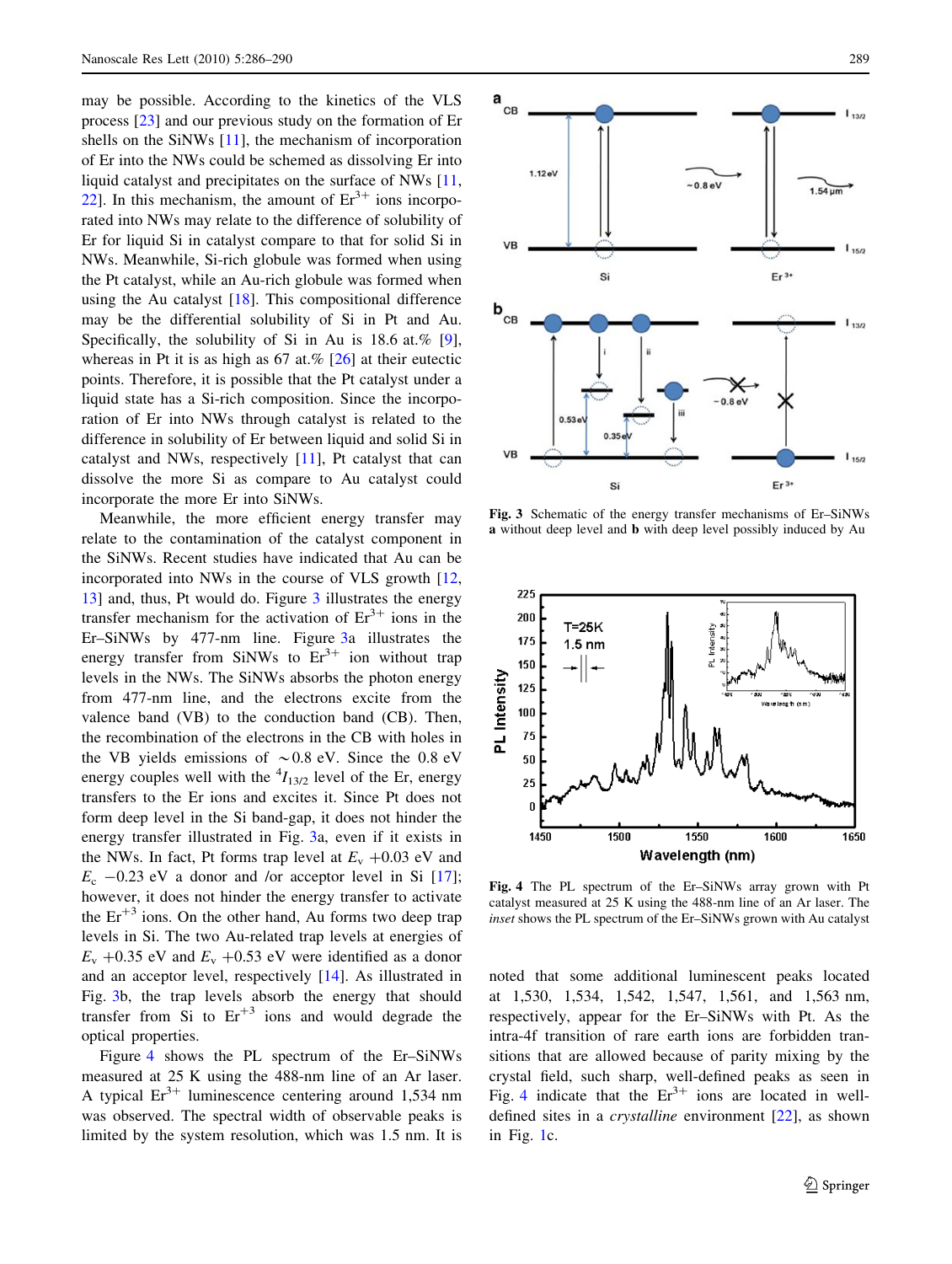may be possible. According to the kinetics of the VLS process [\[23](#page-4-0)] and our previous study on the formation of Er shells on the SiNWs [[11\]](#page-4-0), the mechanism of incorporation of Er into the NWs could be schemed as dissolving Er into liquid catalyst and precipitates on the surface of NWs [[11,](#page-4-0) [22](#page-4-0)]. In this mechanism, the amount of  $Er^{3+}$  ions incorporated into NWs may relate to the difference of solubility of Er for liquid Si in catalyst compare to that for solid Si in NWs. Meanwhile, Si-rich globule was formed when using the Pt catalyst, while an Au-rich globule was formed when using the Au catalyst [[18\]](#page-4-0). This compositional difference may be the differential solubility of Si in Pt and Au. Specifically, the solubility of Si in Au is 18.6 at.% [\[9](#page-4-0)], whereas in Pt it is as high as  $67$  at.% [\[26](#page-4-0)] at their eutectic points. Therefore, it is possible that the Pt catalyst under a liquid state has a Si-rich composition. Since the incorporation of Er into NWs through catalyst is related to the difference in solubility of Er between liquid and solid Si in catalyst and NWs, respectively [\[11](#page-4-0)], Pt catalyst that can dissolve the more Si as compare to Au catalyst could incorporate the more Er into SiNWs.

Meanwhile, the more efficient energy transfer may relate to the contamination of the catalyst component in the SiNWs. Recent studies have indicated that Au can be incorporated into NWs in the course of VLS growth [[12,](#page-4-0) [13](#page-4-0)] and, thus, Pt would do. Figure 3 illustrates the energy transfer mechanism for the activation of  $Er^{3+}$  ions in the Er–SiNWs by 477-nm line. Figure 3a illustrates the energy transfer from SiNWs to  $Er^{3+}$  ion without trap levels in the NWs. The SiNWs absorbs the photon energy from 477-nm line, and the electrons excite from the valence band (VB) to the conduction band (CB). Then, the recombination of the electrons in the CB with holes in the VB yields emissions of  $\sim 0.8$  eV. Since the 0.8 eV energy couples well with the  $^{4}I_{13/2}$  level of the Er, energy transfers to the Er ions and excites it. Since Pt does not form deep level in the Si band-gap, it does not hinder the energy transfer illustrated in Fig. 3a, even if it exists in the NWs. In fact, Pt forms trap level at  $E_v + 0.03$  eV and  $E_c$  -0.23 eV a donor and /or acceptor level in Si [\[17](#page-4-0)]; however, it does not hinder the energy transfer to activate the  $Er^{+3}$  ions. On the other hand, Au forms two deep trap levels in Si. The two Au-related trap levels at energies of  $E_v + 0.35$  eV and  $E_v + 0.53$  eV were identified as a donor and an acceptor level, respectively [[14](#page-4-0)]. As illustrated in Fig. 3b, the trap levels absorb the energy that should transfer from Si to  $Er^{+3}$  ions and would degrade the optical properties.

Figure 4 shows the PL spectrum of the Er–SiNWs measured at 25 K using the 488-nm line of an Ar laser. A typical  $Er^{3+}$  luminescence centering around 1,534 nm was observed. The spectral width of observable peaks is limited by the system resolution, which was 1.5 nm. It is



Fig. 3 Schematic of the energy transfer mechanisms of Er–SiNWs a without deep level and b with deep level possibly induced by Au



Fig. 4 The PL spectrum of the Er–SiNWs array grown with Pt catalyst measured at 25 K using the 488-nm line of an Ar laser. The inset shows the PL spectrum of the Er–SiNWs grown with Au catalyst

noted that some additional luminescent peaks located at 1,530, 1,534, 1,542, 1,547, 1,561, and 1,563 nm, respectively, appear for the Er–SiNWs with Pt. As the intra-4f transition of rare earth ions are forbidden transitions that are allowed because of parity mixing by the crystal field, such sharp, well-defined peaks as seen in Fig. 4 indicate that the  $Er<sup>3+</sup>$  ions are located in welldefined sites in a crystalline environment [\[22](#page-4-0)], as shown in Fig. [1](#page-1-0)c.